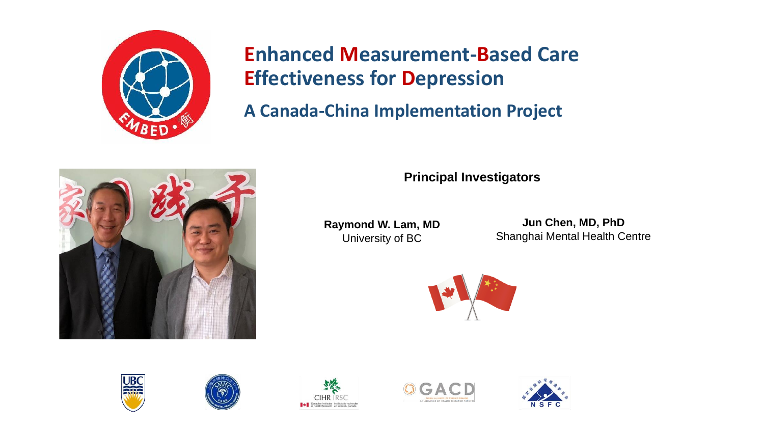

**A Canada-China Implementation Project**



**Principal Investigators**

**Raymond W. Lam, MD** University of BC

**Jun Chen, MD, PhD** Shanghai Mental Health Centre











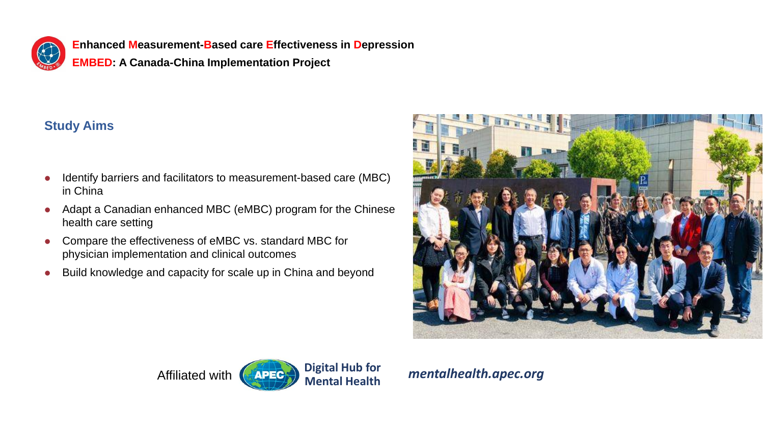

**Enhanced Measurement-Based care Effectiveness in Depression EMBED: A Canada-China Implementation Project**

# **Study Aims**

- ⚫ Identify barriers and facilitators to measurement-based care (MBC) in China
- ⚫ Adapt a Canadian enhanced MBC (eMBC) program for the Chinese health care setting
- ⚫ Compare the effectiveness of eMBC vs. standard MBC for physician implementation and clinical outcomes
- ⚫ Build knowledge and capacity for scale up in China and beyond



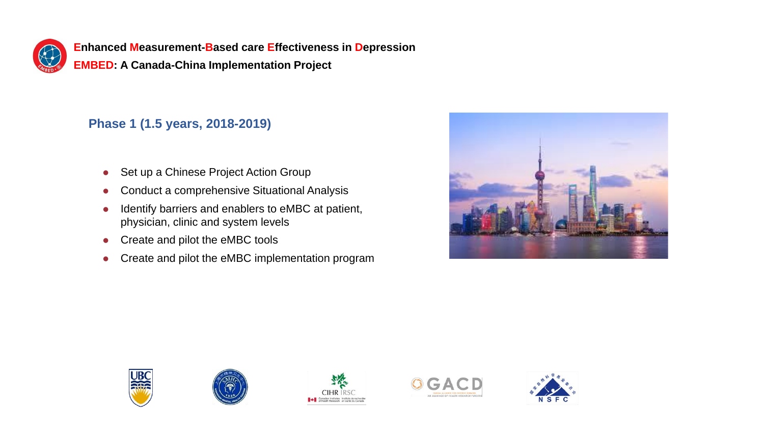

**EMBED: A Canada-China Implementation Project**

# **Phase 1 (1.5 years, 2018-2019)**

- ⚫ Set up a Chinese Project Action Group
- ⚫ Conduct a comprehensive Situational Analysis
- ⚫ Identify barriers and enablers to eMBC at patient, physician, clinic and system levels
- Create and pilot the eMBC tools
- Create and pilot the eMBC implementation program











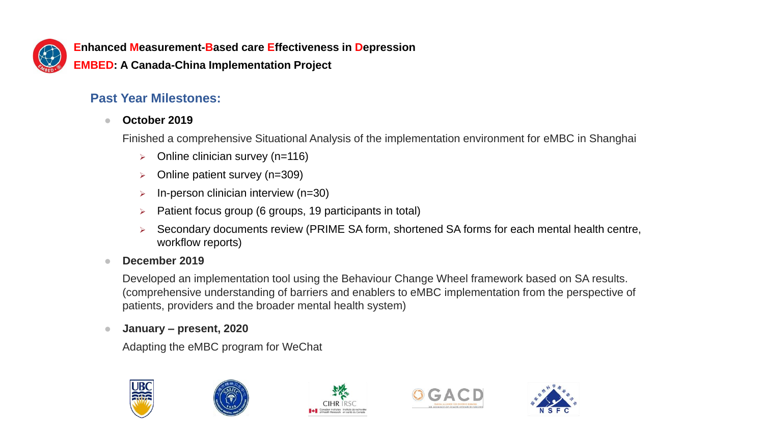

**EMBED: A Canada-China Implementation Project**

# **Past Year Milestones:**

### ⚫ **October 2019**

Finished a comprehensive Situational Analysis of the implementation environment for eMBC in Shanghai

- $\triangleright$  Online clinician survey (n=116)
- ➢ Online patient survey (n=309)
- $\triangleright$  In-person clinician interview (n=30)
- ➢ Patient focus group (6 groups, 19 participants in total)
- ➢ Secondary documents review (PRIME SA form, shortened SA forms for each mental health centre, workflow reports)

#### ⚫ **December 2019**

Developed an implementation tool using the Behaviour Change Wheel framework based on SA results. (comprehensive understanding of barriers and enablers to eMBC implementation from the perspective of patients, providers and the broader mental health system)

#### ⚫ **January – present, 2020**

Adapting the eMBC program for WeChat









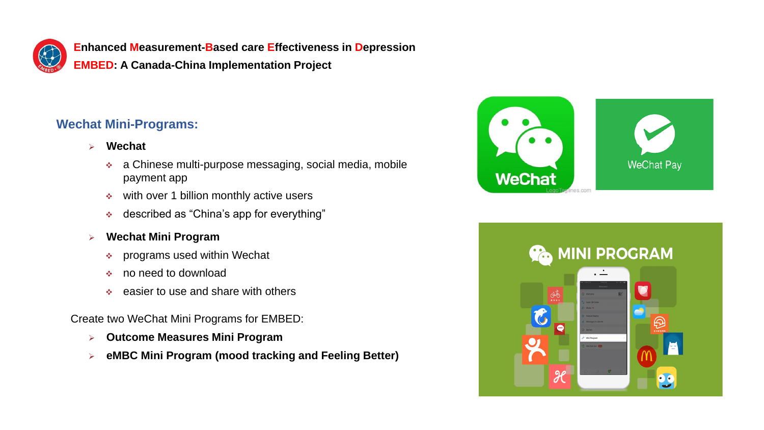

**EMBED: A Canada-China Implementation Project**

# **Wechat Mini-Programs:**

- ➢ **Wechat**
	- ❖ a Chinese multi-purpose messaging, social media, mobile payment app
	- ❖ with over 1 billion monthly active users
	- ❖ described as "China's app for everything"
- ➢ **Wechat Mini Program**
	- ❖ programs used within Wechat
	- ❖ no need to download
	- ❖ easier to use and share with others

Create two WeChat Mini Programs for EMBED:

- ➢ **Outcome Measures Mini Program**
- ➢ **eMBC Mini Program (mood tracking and Feeling Better)**



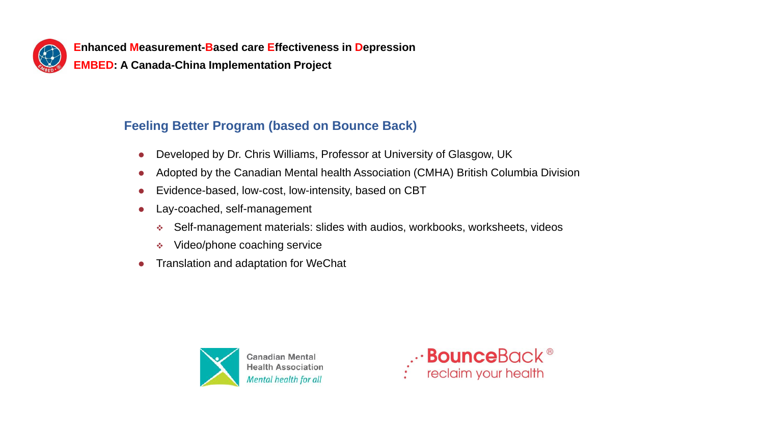

**EMBED: A Canada-China Implementation Project**

# **Feeling Better Program (based on Bounce Back)**

- Developed by Dr. Chris Williams, Professor at University of Glasgow, UK
- Adopted by the Canadian Mental health Association (CMHA) British Columbia Division
- Evidence-based, low-cost, low-intensity, based on CBT
- ⚫ Lay-coached, self-management
	- ❖ Self-management materials: slides with audios, workbooks, worksheets, videos
	- ❖ Video/phone coaching service
- ⚫ Translation and adaptation for WeChat



..<sup>.</sup> **Bounce**Back ®<br>Final provided in your health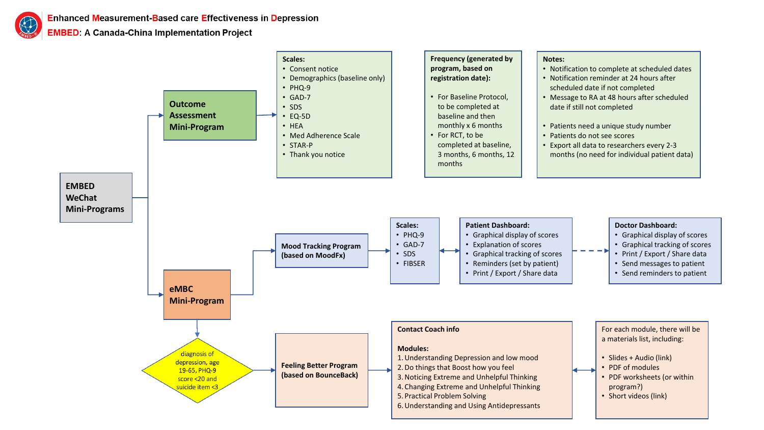**EMBED: A Canada-China Implementation Project** 

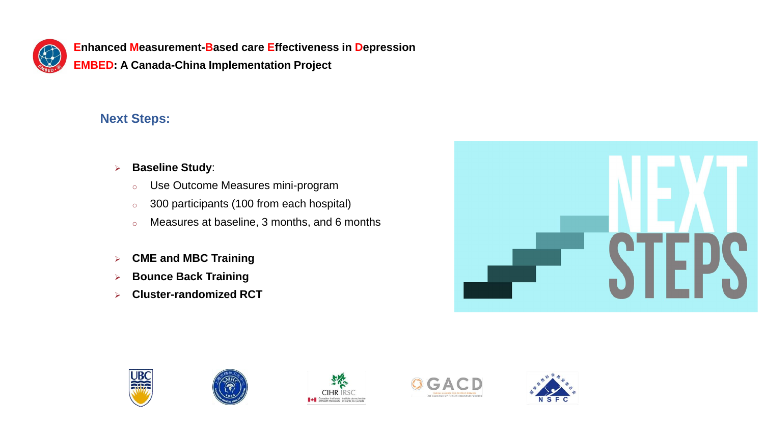

**EMBED: A Canada-China Implementation Project**

# **Next Steps:**

- ➢ **Baseline Study**:
	- o Use Outcome Measures mini-program
	- o 300 participants (100 from each hospital)
	- o Measures at baseline, 3 months, and 6 months
- ➢ **CME and MBC Training**
- ➢ **Bounce Back Training**
- ➢ **Cluster-randomized RCT**











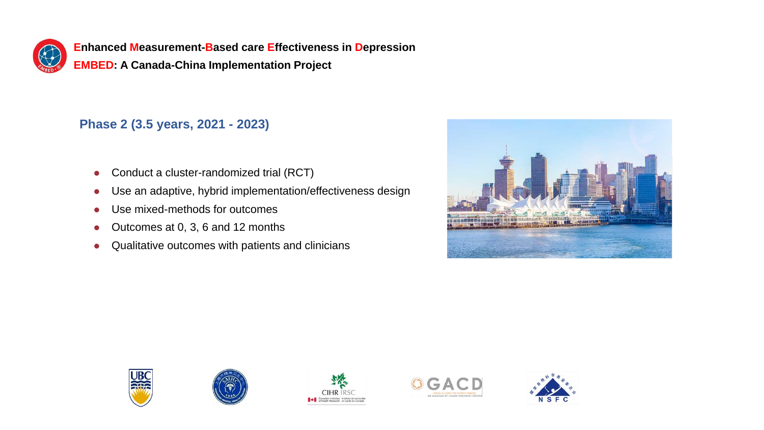

**EMBED: A Canada-China Implementation Project**

# **Phase 2 (3.5 years, 2021 - 2023)**

- Conduct a cluster-randomized trial (RCT)
- ⚫ Use an adaptive, hybrid implementation/effectiveness design
- Use mixed-methods for outcomes
- ⚫ Outcomes at 0, 3, 6 and 12 months
- ⚫ Qualitative outcomes with patients and clinicians











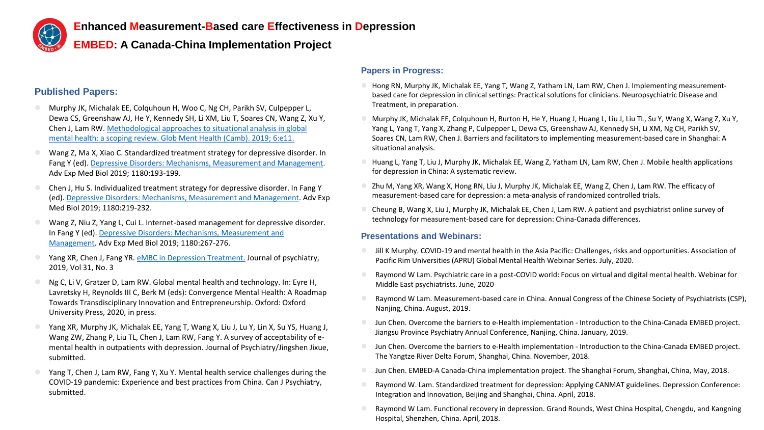

**EMBED: A Canada-China Implementation Project**

#### **Published Papers:**

- ⚫ Murphy JK, Michalak EE, Colquhoun H, Woo C, Ng CH, Parikh SV, Culpepper L, Dewa CS, Greenshaw AJ, He Y, Kennedy SH, Li XM, Liu T, Soares CN, Wang Z, Xu Y, [Chen J, Lam RW. Methodological approaches to situational analysis in global](https://www.ncbi.nlm.nih.gov/pubmed/31258925)  mental health: a scoping review. Glob Ment Health (Camb). 2019; 6:e11.
- ⚫ Wang Z, Ma X, Xiao C. Standardized treatment strategy for depressive disorder. In Fang Y (ed). [Depressive Disorders: Mechanisms, Measurement and Management](https://link.springer.com/book/10.1007/978-981-32-9271-0). Adv Exp Med Biol 2019; 1180:193-199.
- ⚫ Chen J, Hu S. Individualized treatment strategy for depressive disorder. In Fang Y (ed). [Depressive Disorders: Mechanisms, Measurement and Management.](https://link.springer.com/book/10.1007/978-981-32-9271-0) Adv Exp Med Biol 2019; 1180:219-232.
- ⚫ Wang Z, Niu Z, Yang L, Cui L. Internet-based management for depressive disorder. [In Fang Y \(ed\). Depressive Disorders: Mechanisms, Measurement and](https://link.springer.com/book/10.1007/978-981-32-9271-0)  Management. Adv Exp Med Biol 2019; 1180:267-276.
- Yang XR, Chen J, Fang YR. [eMBC in Depression Treatment.](http://www.cnki.com.cn/Article/CJFDTotal-SDJB201903022.htm) Journal of psychiatry, 2019, Vol 31, No. 3
- Ng C, Li V, Gratzer D, Lam RW. Global mental health and technology. In: Eyre H, Lavretsky H, Reynolds III C, Berk M (eds): Convergence Mental Health: A Roadmap Towards Transdisciplinary Innovation and Entrepreneurship. Oxford: Oxford University Press, 2020, in press.
- Yang XR, Murphy JK, Michalak EE, Yang T, Wang X, Liu J, Lu Y, Lin X, Su YS, Huang J, Wang ZW, Zhang P, Liu TL, Chen J, Lam RW, Fang Y. A survey of acceptability of emental health in outpatients with depression. Journal of Psychiatry/Jingshen Jixue, submitted.
- Yang T, Chen J, Lam RW, Fang Y, Xu Y. Mental health service challenges during the COVID-19 pandemic: Experience and best practices from China. Can J Psychiatry, submitted.

#### **Papers in Progress:**

- ⚫ Hong RN, Murphy JK, Michalak EE, Yang T, Wang Z, Yatham LN, Lam RW, Chen J. Implementing measurementbased care for depression in clinical settings: Practical solutions for clinicians. Neuropsychiatric Disease and Treatment, in preparation.
- ⚫ Murphy JK, Michalak EE, Colquhoun H, Burton H, He Y, Huang J, Huang L, Liu J, Liu TL, Su Y, Wang X, Wang Z, Xu Y, Yang L, Yang T, Yang X, Zhang P, Culpepper L, Dewa CS, Greenshaw AJ, Kennedy SH, Li XM, Ng CH, Parikh SV, Soares CN, Lam RW, Chen J. Barriers and facilitators to implementing measurement-based care in Shanghai: A situational analysis.
- ⚫ Huang L, Yang T, Liu J, Murphy JK, Michalak EE, Wang Z, Yatham LN, Lam RW, Chen J. Mobile health applications for depression in China: A systematic review.
- ⚫ Zhu M, Yang XR, Wang X, Hong RN, Liu J, Murphy JK, Michalak EE, Wang Z, Chen J, Lam RW. The efficacy of measurement-based care for depression: a meta-analysis of randomized controlled trials.
- ⚫ Cheung B, Wang X, Liu J, Murphy JK, Michalak EE, Chen J, Lam RW. A patient and psychiatrist online survey of technology for measurement-based care for depression: China-Canada differences.

#### **Presentations and Webinars:**

- ⚫ Jill K Murphy. COVID-19 and mental health in the Asia Pacific: Challenges, risks and opportunities. Association of Pacific Rim Universities (APRU) Global Mental Health Webinar Series. July, 2020.
- ⚫ Raymond W Lam. Psychiatric care in a post-COVID world: Focus on virtual and digital mental health. Webinar for Middle East psychiatrists. June, 2020
- ⚫ Raymond W Lam. Measurement-based care in China. Annual Congress of the Chinese Society of Psychiatrists (CSP), Nanjing, China. August, 2019.
- ⚫ Jun Chen. Overcome the barriers to e-Health implementation Introduction to the China-Canada EMBED project. Jiangsu Province Psychiatry Annual Conference, Nanjing, China. January, 2019.
- ⚫ Jun Chen. Overcome the barriers to e-Health implementation Introduction to the China-Canada EMBED project. The Yangtze River Delta Forum, Shanghai, China. November, 2018.
- ⚫ Jun Chen. EMBED-A Canada-China implementation project. The Shanghai Forum, Shanghai, China, May, 2018.
- ⚫ Raymond W. Lam. Standardized treatment for depression: Applying CANMAT guidelines. Depression Conference: Integration and Innovation, Beijing and Shanghai, China. April, 2018.
- ⚫ Raymond W Lam. Functional recovery in depression. Grand Rounds, West China Hospital, Chengdu, and Kangning Hospital, Shenzhen, China. April, 2018.